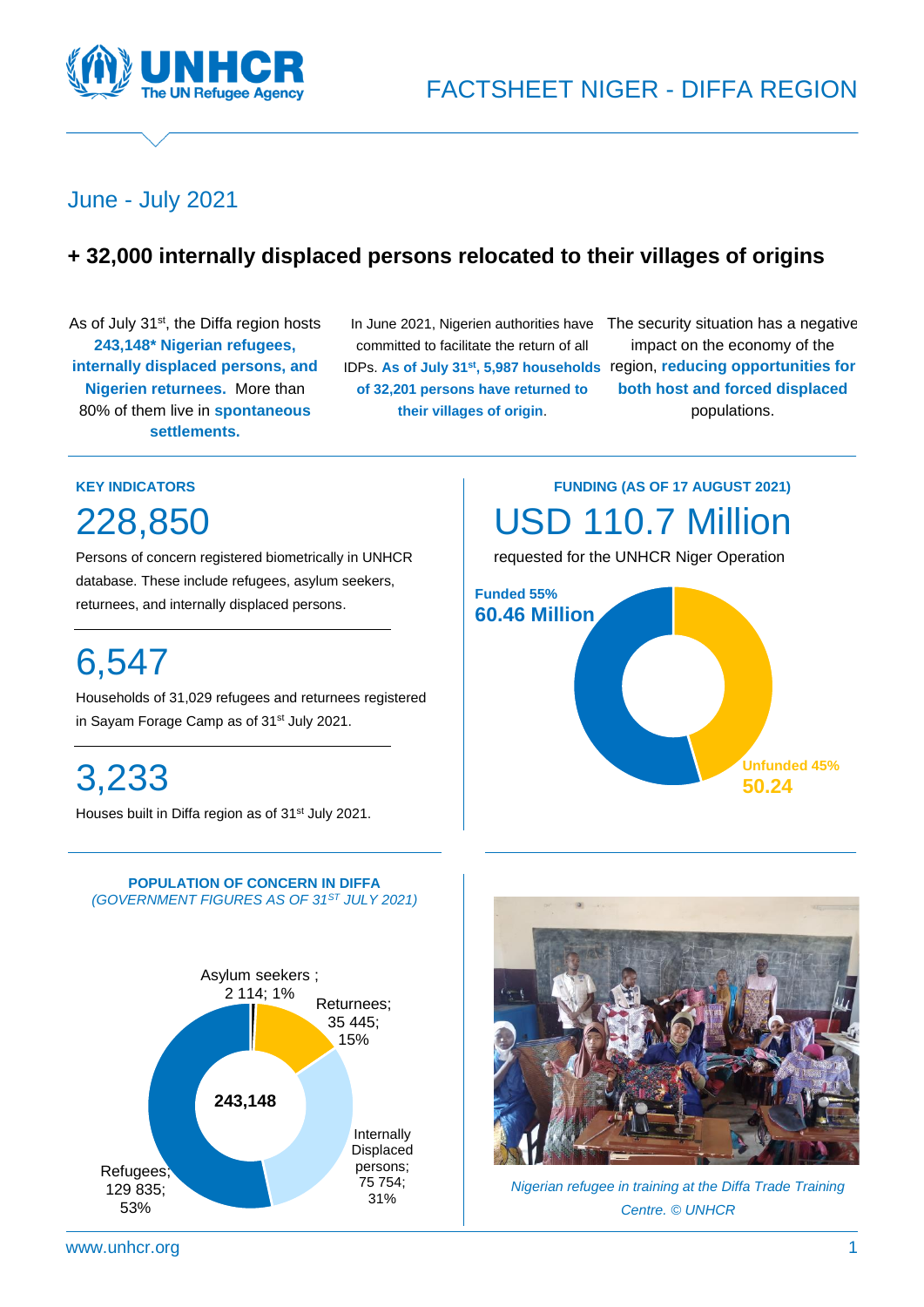

# June - July 2021

# **+ 32,000 internally displaced persons relocated to their villages of origins**

As of July 31<sup>st</sup>, the Diffa region hosts **243,148\* Nigerian refugees, internally displaced persons, and Nigerien returnees.** More than 80% of them live in **spontaneous settlements.**

(\*Government figures)

In June 2021, Nigerien authorities have committed to facilitate the return of all IDPs. **As of July 31st, 5,987 households**  region, **reducing opportunities for of 32,201 persons have returned to their villages of origin**.

> **Funded 55% 60.46 Million**

The security situation has a negative impact on the economy of the **both host and forced displaced** populations.

**Unfunded 45%**

**50.24**

**FUNDING (AS OF 17 AUGUST 2021)**

USD 110.7 Million

requested for the UNHCR Niger Operation

### **KEY INDICATORS**

228,850

Persons of concern registered biometrically in UNHCR database. These include refugees, asylum seekers, returnees, and internally displaced persons.

# 6,547

Households of 31,029 refugees and returnees registered in Sayam Forage Camp as of 31<sup>st</sup> July 2021.

3,233

Houses built in Diffa region as of 31<sup>st</sup> July 2021.







*Nigerian refugee in training at the Diffa Trade Training Centre. © UNHCR*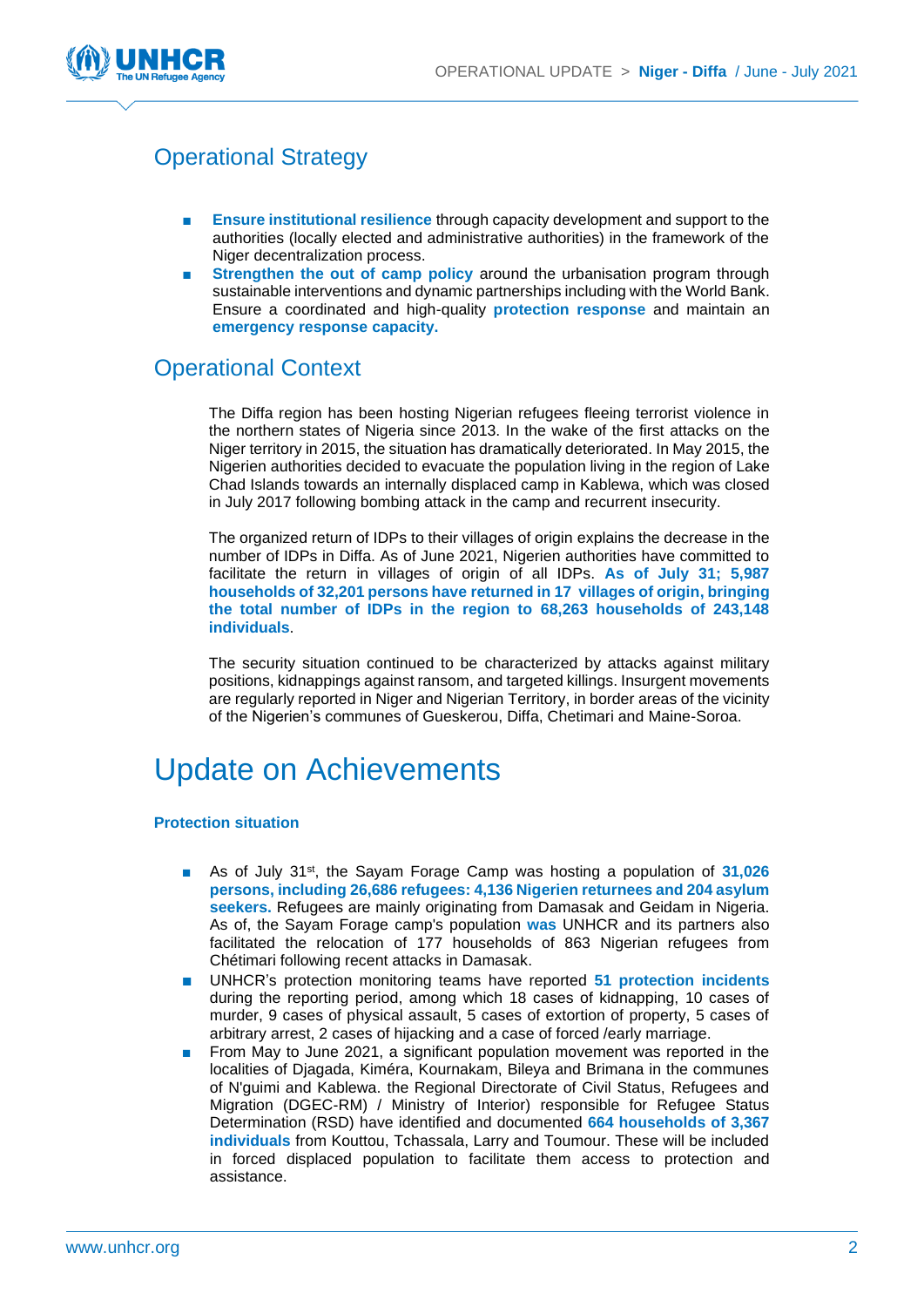

# Operational Strategy

- **Ensure institutional resilience** through capacity development and support to the authorities (locally elected and administrative authorities) in the framework of the Niger decentralization process.
- **Strengthen the out of camp policy around the urbanisation program through** sustainable interventions and dynamic partnerships including with the World Bank. Ensure a coordinated and high-quality **protection response** and maintain an **emergency response capacity.**

# Operational Context

The Diffa region has been hosting Nigerian refugees fleeing terrorist violence in the northern states of Nigeria since 2013. In the wake of the first attacks on the Niger territory in 2015, the situation has dramatically deteriorated. In May 2015, the Nigerien authorities decided to evacuate the population living in the region of Lake Chad Islands towards an internally displaced camp in Kablewa, which was closed in July 2017 following bombing attack in the camp and recurrent insecurity.

The organized return of IDPs to their villages of origin explains the decrease in the number of IDPs in Diffa. As of June 2021, Nigerien authorities have committed to facilitate the return in villages of origin of all IDPs. **As of July 31; 5,987 households of 32,201 persons have returned in 17 villages of origin, bringing the total number of IDPs in the region to 68,263 households of 243,148 individuals**.

The security situation continued to be characterized by attacks against military positions, kidnappings against ransom, and targeted killings. Insurgent movements are regularly reported in Niger and Nigerian Territory, in border areas of the vicinity of the Nigerien's communes of Gueskerou, Diffa, Chetimari and Maine-Soroa.

# Update on Achievements

#### **Protection situation**

- As of July 31<sup>st</sup>, the Sayam Forage Camp was hosting a population of 31,026 **persons, including 26,686 refugees: 4,136 Nigerien returnees and 204 asylum seekers.** Refugees are mainly originating from Damasak and Geidam in Nigeria. As of, the Sayam Forage camp's population **was** UNHCR and its partners also facilitated the relocation of 177 households of 863 Nigerian refugees from Chétimari following recent attacks in Damasak.
- UNHCR's protection monitoring teams have reported 51 protection incidents during the reporting period, among which 18 cases of kidnapping, 10 cases of murder, 9 cases of physical assault, 5 cases of extortion of property, 5 cases of arbitrary arrest, 2 cases of hijacking and a case of forced /early marriage.
- From May to June 2021, a significant population movement was reported in the localities of Djagada, Kiméra, Kournakam, Bileya and Brimana in the communes of N'guimi and Kablewa. the Regional Directorate of Civil Status, Refugees and Migration (DGEC-RM) / Ministry of Interior) responsible for Refugee Status Determination (RSD) have identified and documented **664 households of 3,367 individuals** from Kouttou, Tchassala, Larry and Toumour. These will be included in forced displaced population to facilitate them access to protection and assistance.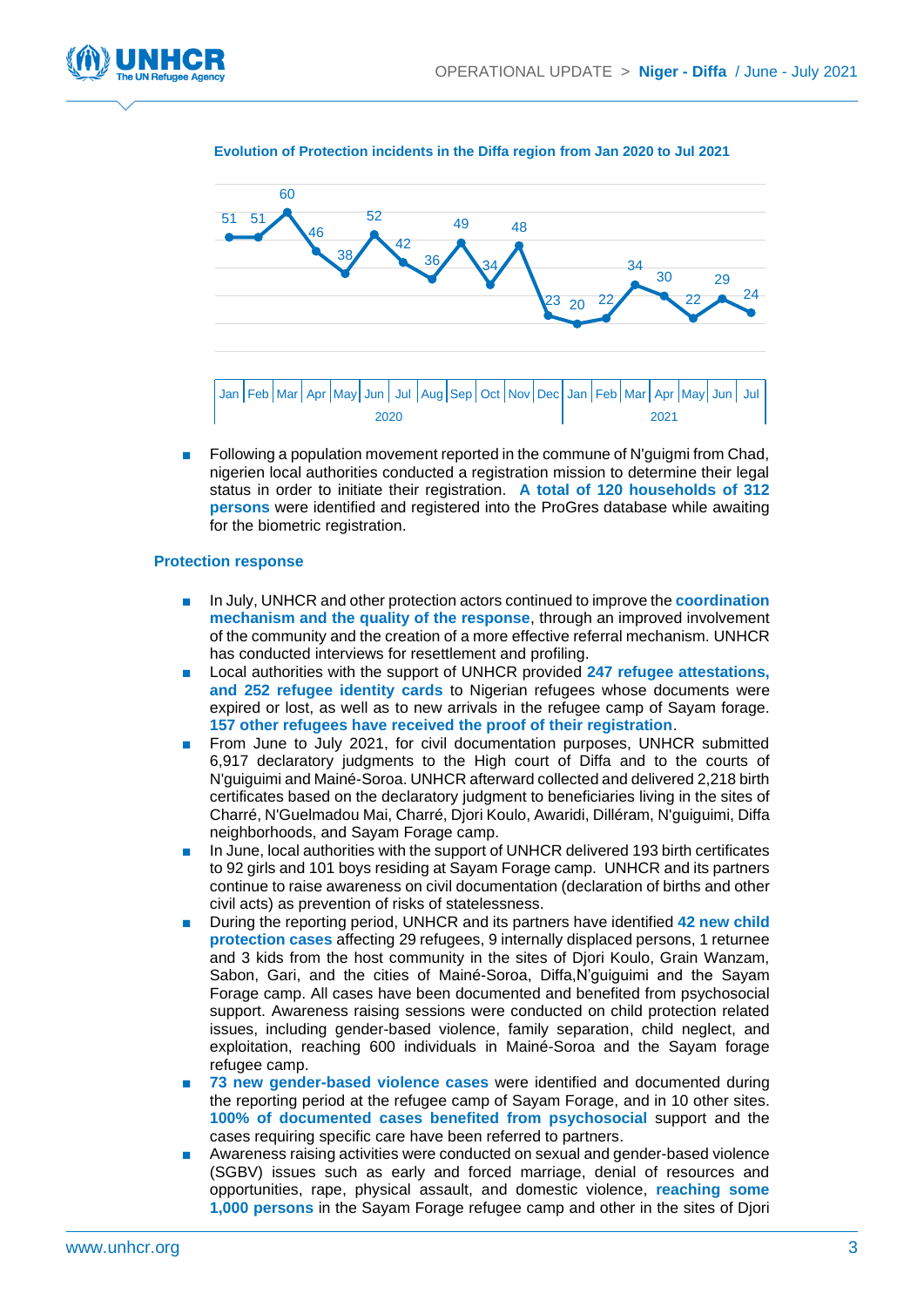



#### **Evolution of Protection incidents in the Diffa region from Jan 2020 to Jul 2021**

■ Following a population movement reported in the commune of N'guigmi from Chad, nigerien local authorities conducted a registration mission to determine their legal status in order to initiate their registration. **A total of 120 households of 312 persons** were identified and registered into the ProGres database while awaiting for the biometric registration.

#### **Protection response**

- In July, UNHCR and other protection actors continued to improve the **coordination mechanism and the quality of the response**, through an improved involvement of the community and the creation of a more effective referral mechanism. UNHCR has conducted interviews for resettlement and profiling.
- Local authorities with the support of UNHCR provided 247 refugee attestations, **and 252 refugee identity cards** to Nigerian refugees whose documents were expired or lost, as well as to new arrivals in the refugee camp of Sayam forage. **157 other refugees have received the proof of their registration**.
- From June to July 2021, for civil documentation purposes, UNHCR submitted 6,917 declaratory judgments to the High court of Diffa and to the courts of N'guiguimi and Mainé-Soroa. UNHCR afterward collected and delivered 2,218 birth certificates based on the declaratory judgment to beneficiaries living in the sites of Charré, N'Guelmadou Mai, Charré, Djori Koulo, Awaridi, Dilléram, N'guiguimi, Diffa neighborhoods, and Sayam Forage camp.
- In June, local authorities with the support of UNHCR delivered 193 birth certificates to 92 girls and 101 boys residing at Sayam Forage camp. UNHCR and its partners continue to raise awareness on civil documentation (declaration of births and other civil acts) as prevention of risks of statelessness.
- During the reporting period, UNHCR and its partners have identified **42 new child protection cases** affecting 29 refugees, 9 internally displaced persons, 1 returnee and 3 kids from the host community in the sites of Djori Koulo, Grain Wanzam, Sabon, Gari, and the cities of Mainé-Soroa, Diffa,N'guiguimi and the Sayam Forage camp. All cases have been documented and benefited from psychosocial support. Awareness raising sessions were conducted on child protection related issues, including gender-based violence, family separation, child neglect, and exploitation, reaching 600 individuals in Mainé-Soroa and the Sayam forage refugee camp.
- **73 new gender-based violence cases were identified and documented during** the reporting period at the refugee camp of Sayam Forage, and in 10 other sites. **100% of documented cases benefited from psychosocial** support and the cases requiring specific care have been referred to partners.
- Awareness raising activities were conducted on sexual and gender-based violence (SGBV) issues such as early and forced marriage, denial of resources and opportunities, rape, physical assault, and domestic violence, **reaching some 1,000 persons** in the Sayam Forage refugee camp and other in the sites of Djori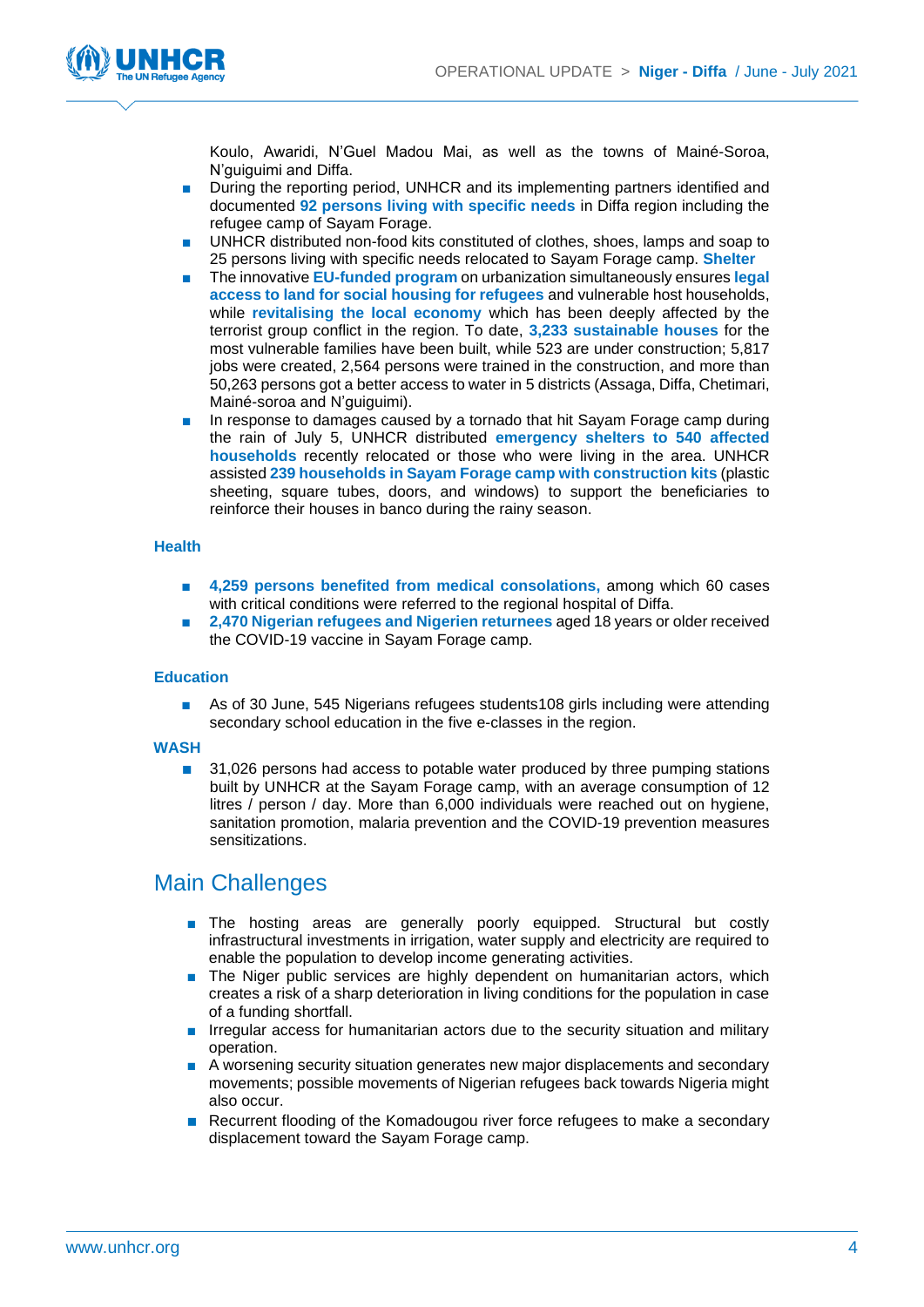

Koulo, Awaridi, N'Guel Madou Mai, as well as the towns of Mainé-Soroa, N'guiguimi and Diffa.

- During the reporting period, UNHCR and its implementing partners identified and documented **92 persons living with specific needs** in Diffa region including the refugee camp of Sayam Forage.
- UNHCR distributed non-food kits constituted of clothes, shoes, lamps and soap to 25 persons living with specific needs relocated to Sayam Forage camp. **Shelter**
- The innovative **EU-funded program** on urbanization simultaneously ensures **legal access to land for social housing for refugees** and vulnerable host households, while **revitalising the local economy** which has been deeply affected by the terrorist group conflict in the region. To date, **3,233 sustainable houses** for the most vulnerable families have been built, while 523 are under construction; 5,817 jobs were created, 2,564 persons were trained in the construction, and more than 50,263 persons got a better access to water in 5 districts (Assaga, Diffa, Chetimari, Mainé-soroa and N'guiguimi).
- In response to damages caused by a tornado that hit Sayam Forage camp during the rain of July 5, UNHCR distributed **emergency shelters to 540 affected households** recently relocated or those who were living in the area. UNHCR assisted **239 households in Sayam Forage camp with construction kits** (plastic sheeting, square tubes, doors, and windows) to support the beneficiaries to reinforce their houses in banco during the rainy season.

#### **Health**

- **4,259 persons benefited from medical consolations,** among which 60 cases with critical conditions were referred to the regional hospital of Diffa.
- **2,470 Nigerian refugees and Nigerien returnees** aged 18 years or older received the COVID-19 vaccine in Sayam Forage camp.

#### **Education**

As of 30 June, 545 Nigerians refugees students108 girls including were attending secondary school education in the five e-classes in the region.

#### **WASH**

■ 31,026 persons had access to potable water produced by three pumping stations built by UNHCR at the Sayam Forage camp, with an average consumption of 12 litres / person / day. More than 6,000 individuals were reached out on hygiene, sanitation promotion, malaria prevention and the COVID-19 prevention measures sensitizations.

### Main Challenges

- The hosting areas are generally poorly equipped. Structural but costly infrastructural investments in irrigation, water supply and electricity are required to enable the population to develop income generating activities.
- The Niger public services are highly dependent on humanitarian actors, which creates a risk of a sharp deterioration in living conditions for the population in case of a funding shortfall.
- Irregular access for humanitarian actors due to the security situation and military operation.
- A worsening security situation generates new major displacements and secondary movements; possible movements of Nigerian refugees back towards Nigeria might also occur.
- Recurrent flooding of the Komadougou river force refugees to make a secondary displacement toward the Sayam Forage camp.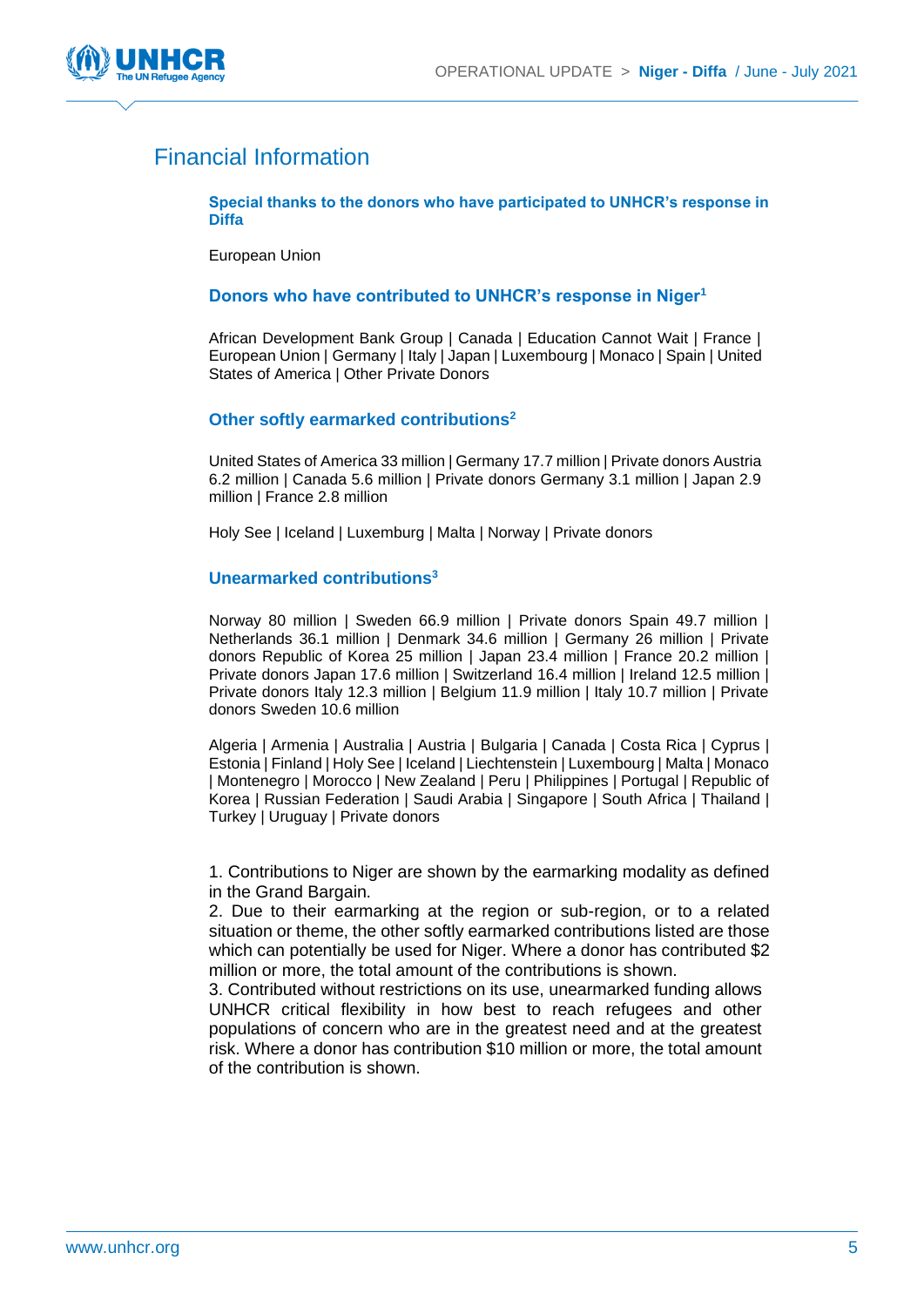

# Financial Information

**Special thanks to the donors who have participated to UNHCR's response in Diffa**

European Union

#### **Donors who have contributed to UNHCR's response in Niger<sup>1</sup>**

African Development Bank Group | Canada | Education Cannot Wait | France | European Union | Germany | Italy | Japan | Luxembourg | Monaco | Spain | United States of America | Other Private Donors

#### **Other softly earmarked contributions<sup>2</sup>**

United States of America 33 million | Germany 17.7 million | Private donors Austria 6.2 million | Canada 5.6 million | Private donors Germany 3.1 million | Japan 2.9 million | France 2.8 million

Holy See | Iceland | Luxemburg | Malta | Norway | Private donors

#### **Unearmarked contributions<sup>3</sup>**

Norway 80 million | Sweden 66.9 million | Private donors Spain 49.7 million | Netherlands 36.1 million | Denmark 34.6 million | Germany 26 million | Private donors Republic of Korea 25 million | Japan 23.4 million | France 20.2 million | Private donors Japan 17.6 million | Switzerland 16.4 million | Ireland 12.5 million | Private donors Italy 12.3 million | Belgium 11.9 million | Italy 10.7 million | Private donors Sweden 10.6 million

Algeria | Armenia | Australia | Austria | Bulgaria | Canada | Costa Rica | Cyprus | Estonia | Finland | Holy See | Iceland | Liechtenstein | Luxembourg | Malta | Monaco | Montenegro | Morocco | New Zealand | Peru | Philippines | Portugal | Republic of Korea | Russian Federation | Saudi Arabia | Singapore | South Africa | Thailand | Turkey | Uruguay | Private donors

1. Contributions to Niger are shown by the earmarking modality as defined in the Grand Bargain.

2. Due to their earmarking at the region or sub-region, or to a related situation or theme, the other softly earmarked contributions listed are those which can potentially be used for Niger. Where a donor has contributed \$2 million or more, the total amount of the contributions is shown.

3. Contributed without restrictions on its use, unearmarked funding allows UNHCR critical flexibility in how best to reach refugees and other populations of concern who are in the greatest need and at the greatest risk. Where a donor has contribution \$10 million or more, the total amount of the contribution is shown.